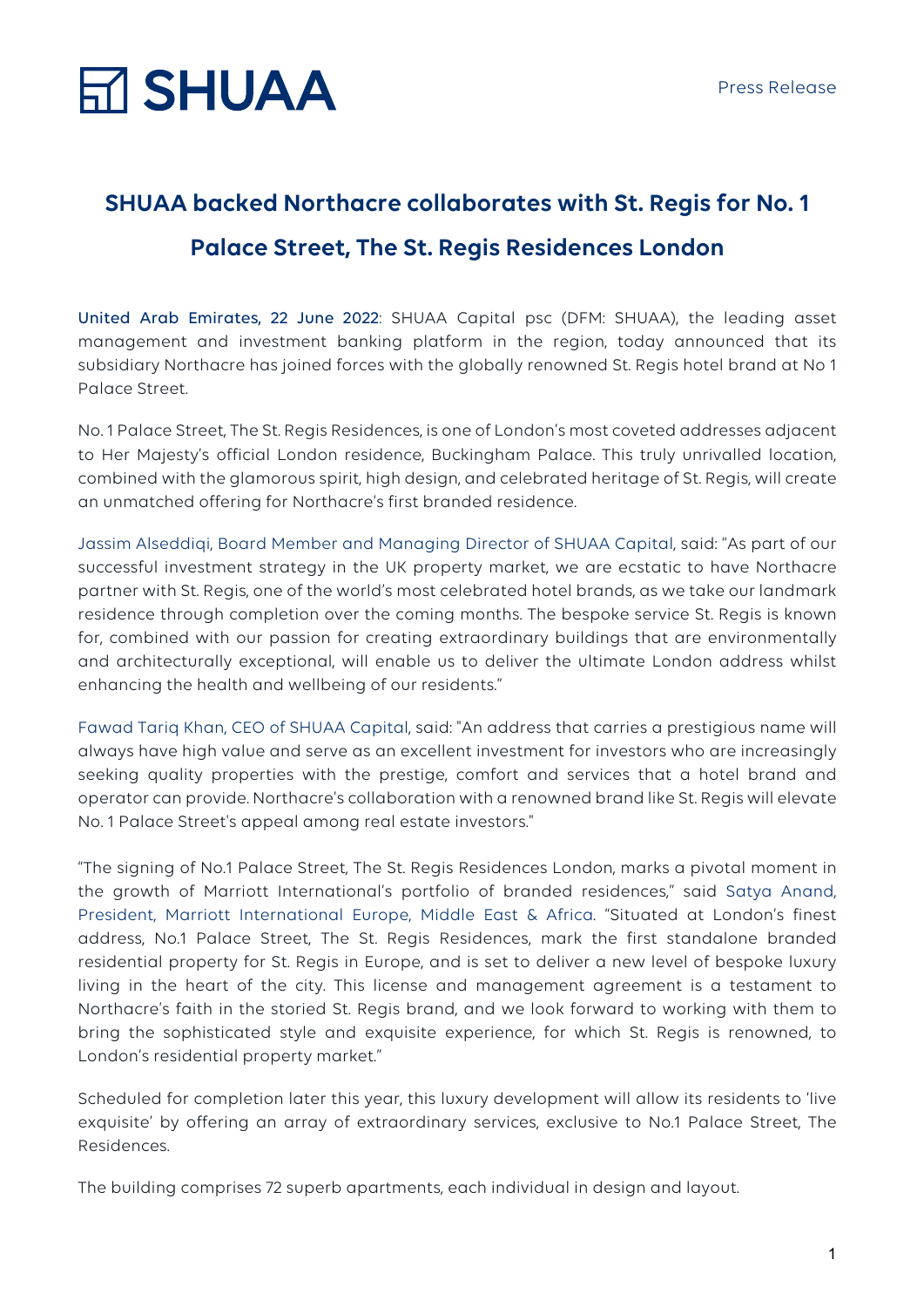### **SHUAA backed Northacre collaborates with St. Regis for No. 1 Palace Street, The St. Regis Residences London**

United Arab Emirates, 22 June 2022: SHUAA Capital psc (DFM: SHUAA), the leading asset management and investment banking platform in the region, today announced that its subsidiary Northacre has joined forces with the globally renowned St. Regis hotel brand at No 1 Palace Street.

No. 1 Palace Street, The St. Regis Residences, is one of London's most coveted addresses adjacent to Her Majesty's official London residence, Buckingham Palace. This truly unrivalled location, combined with the glamorous spirit, high design, and celebrated heritage of St. Regis, will create an unmatched offering for Northacre's first branded residence.

Jassim Alseddiqi, Board Member and Managing Director of SHUAA Capital, said: "As part of our successful investment strategy in the UK property market, we are ecstatic to have Northacre partner with St. Regis, one of the world's most celebrated hotel brands, as we take our landmark residence through completion over the coming months. The bespoke service St. Regis is known for, combined with our passion for creating extraordinary buildings that are environmentally and architecturally exceptional, will enable us to deliver the ultimate London address whilst enhancing the health and wellbeing of our residents."

Fawad Tariq Khan, CEO of SHUAA Capital, said: "An address that carries a prestigious name will always have high value and serve as an excellent investment for investors who are increasingly seeking quality properties with the prestige, comfort and services that a hotel brand and operator can provide. Northacre's collaboration with a renowned brand like St. Regis will elevate No. 1 Palace Street's appeal among real estate investors."

"The signing of No.1 Palace Street, The St. Regis Residences London, marks a pivotal moment in the growth of Marriott International's portfolio of branded residences," said Satya Anand, President, Marriott International Europe, Middle East & Africa. "Situated at London's finest address, No.1 Palace Street, The St. Regis Residences, mark the first standalone branded residential property for St. Regis in Europe, and is set to deliver a new level of bespoke luxury living in the heart of the city. This license and management agreement is a testament to Northacre's faith in the storied St. Regis brand, and we look forward to working with them to bring the sophisticated style and exquisite experience, for which St. Regis is renowned, to London's residential property market."

Scheduled for completion later this year, this luxury development will allow its residents to 'live exquisite' by offering an array of extraordinary services, exclusive to No.1 Palace Street, The Residences.

The building comprises 72 superb apartments, each individual in design and layout.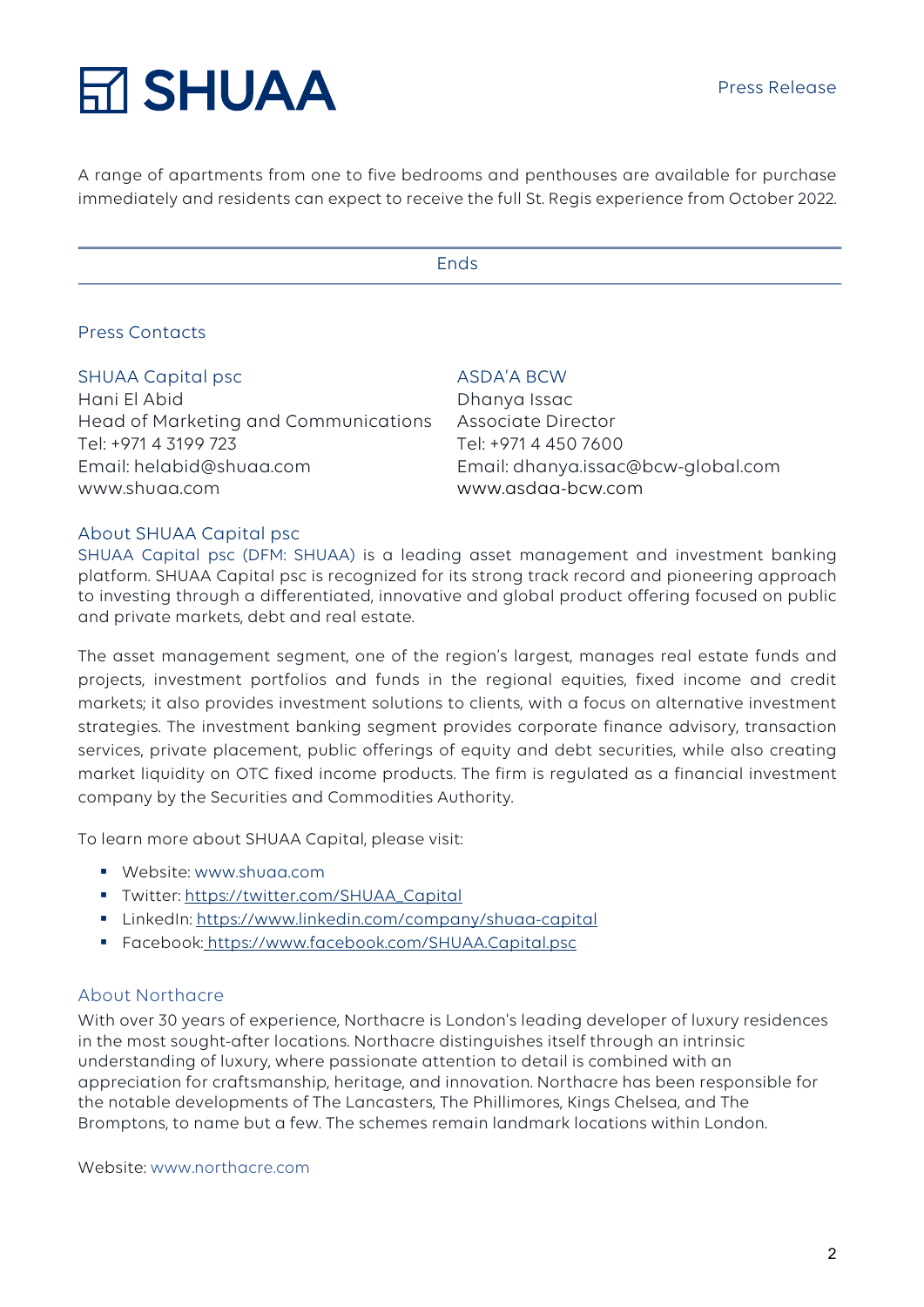# **M SHUAA**

A range of apartments from one to five bedrooms and penthouses are available for purchase immediately and residents can expect to receive the full St. Regis experience from October 2022.

Ends

#### Press Contacts

#### SHUAA Capital psc

Hani El Abid Head of Marketing and Communications Tel: +971 4 3199 723 Email: helabid@shuaa.com www.shuaa.com

#### ASDA'A BCW

Dhanya Issac Associate Director Tel: +971 4 450 7600 Email: dhanya.issac@bcw-global.com www.asdaa-bcw.com

#### About SHUAA Capital psc

SHUAA Capital psc (DFM: SHUAA) is a leading asset management and investment banking platform. SHUAA Capital psc is recognized for its strong track record and pioneering approach to investing through a differentiated, innovative and global product offering focused on public and private markets, debt and real estate.

The asset management segment, one of the region's largest, manages real estate funds and projects, investment portfolios and funds in the regional equities, fixed income and credit markets; it also provides investment solutions to clients, with a focus on alternative investment strategies. The investment banking segment provides corporate finance advisory, transaction services, private placement, public offerings of equity and debt securities, while also creating market liquidity on OTC fixed income products. The firm is regulated as a financial investment company by the Securities and Commodities Authority.

To learn more about SHUAA Capital, please visit:

- § Website: www.shuaa.com
- § Twitter: https://twitter.com/SHUAA\_Capital
- § LinkedIn: https://www.linkedin.com/company/shuaa-capital
- § Facebook: https://www.facebook.com/SHUAA.Capital.psc

#### About Northacre

With over 30 years of experience, Northacre is London's leading developer of luxury residences in the most sought-after locations. Northacre distinguishes itself through an intrinsic understanding of luxury, where passionate attention to detail is combined with an appreciation for craftsmanship, heritage, and innovation. Northacre has been responsible for the notable developments of The Lancasters, The Phillimores, Kings Chelsea, and The Bromptons, to name but a few. The schemes remain landmark locations within London.

Website: www.northacre.com